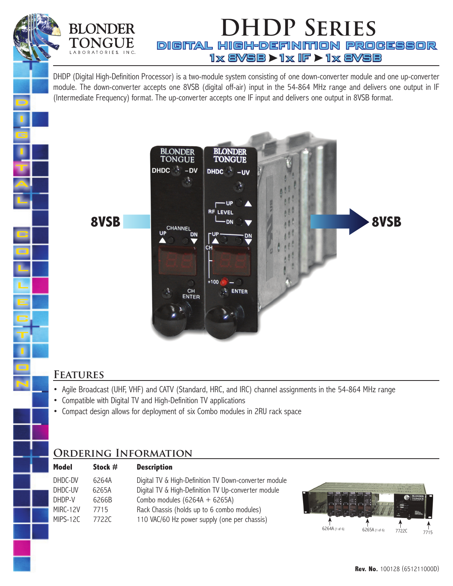

D

I

G

I

T

A

L

C

O

L

L

E

C

T

I

O

N

# **DHDP Series** DIGITAL HIGH-DEFINITION PROCESSOR 1x 8VSB 1x IF 1x 8VSB

DHDP (Digital High-Definition Processor) is a two-module system consisting of one down-converter module and one up-converter module. The down-converter accepts one 8VSB (digital off-air) input in the 54-864 MHz range and delivers one output in IF (Intermediate Frequency) format. The up-converter accepts one IF input and delivers one output in 8VSB format.



## **Features**

- Agile Broadcast (UHF, VHF) and CATV (Standard, HRC, and IRC) channel assignments in the 54-864 MHz range
- Compatible with Digital TV and High-Definition TV applications
- Compact design allows for deployment of six Combo modules in 2RU rack space

## **Ordering Information**

| <b>Model</b> | Stock # | <b>Description</b>                                    |
|--------------|---------|-------------------------------------------------------|
| DHDC-DV      | 6264A   | Digital TV & High-Definition TV Down-converter module |
| DHDC-UV      | 6265A   | Digital TV & High-Definition TV Up-converter module   |
| DHDP-V       | 6266B   | Combo modules $(6264A + 6265A)$                       |
| MIRC-12V     | 7715    | Rack Chassis (holds up to 6 combo modules)            |
| $MIPS-12C$   | 7722C   | 110 VAC/60 Hz power supply (one per chassis)          |
|              |         |                                                       |